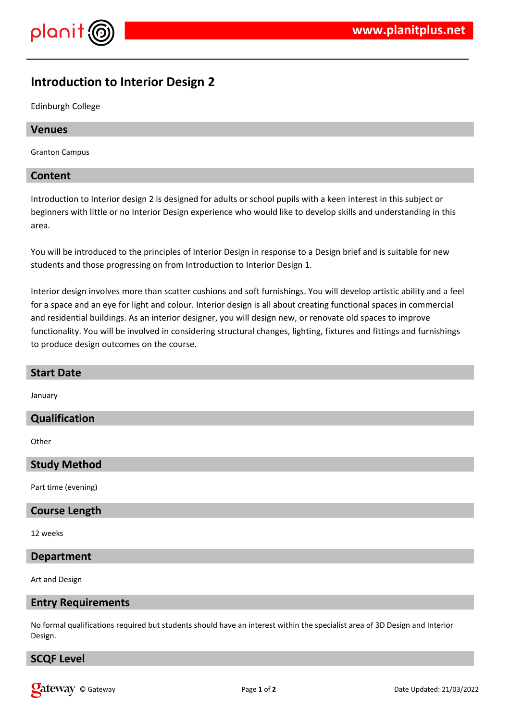



# **Introduction to Interior Design 2**

Edinburgh College

#### **Venues**

Granton Campus

#### **Content**

Introduction to Interior design 2 is designed for adults or school pupils with a keen interest in this subject or beginners with little or no Interior Design experience who would like to develop skills and understanding in this area.

You will be introduced to the principles of Interior Design in response to a Design brief and is suitable for new students and those progressing on from Introduction to Interior Design 1.

Interior design involves more than scatter cushions and soft furnishings. You will develop artistic ability and a feel for a space and an eye for light and colour. Interior design is all about creating functional spaces in commercial and residential buildings. As an interior designer, you will design new, or renovate old spaces to improve functionality. You will be involved in considering structural changes, lighting, fixtures and fittings and furnishings to produce design outcomes on the course.

| <b>Start Date</b>    |
|----------------------|
| January              |
| Qualification        |
| Other                |
| <b>Study Method</b>  |
| Part time (evening)  |
| <b>Course Length</b> |
| 12 weeks             |
| <b>Department</b>    |
| Art and Design       |

#### **Entry Requirements**

No formal qualifications required but students should have an interest within the specialist area of 3D Design and Interior Design.

#### **SCQF Level**